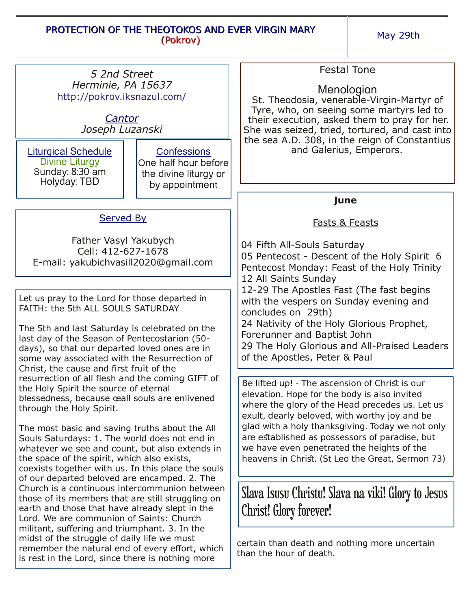## PROTECTION OF THE THEOTOKOS AND EVER VIRGIN MARY (Pokrov)

May 29th

| 5 2nd Street                                                                                                                                                                                                                                                                                                                                                                                                                                                                                                                                                                                                                                                                                                      |                                                                                       | <b>Festal Tone</b>                                                                                                                                                                                                                                                                                                                                                                                         |
|-------------------------------------------------------------------------------------------------------------------------------------------------------------------------------------------------------------------------------------------------------------------------------------------------------------------------------------------------------------------------------------------------------------------------------------------------------------------------------------------------------------------------------------------------------------------------------------------------------------------------------------------------------------------------------------------------------------------|---------------------------------------------------------------------------------------|------------------------------------------------------------------------------------------------------------------------------------------------------------------------------------------------------------------------------------------------------------------------------------------------------------------------------------------------------------------------------------------------------------|
| Herminie, PA 15637<br>http://pokrov.iksnazul.com/<br>Cantor<br>Joseph Luzanski                                                                                                                                                                                                                                                                                                                                                                                                                                                                                                                                                                                                                                    |                                                                                       | Menologion<br>St. Theodosia, venerable-Virgin-Martyr of<br>Tyre, who, on seeing some martyrs led to<br>their execution, asked them to pray for her.<br>She was seized, tried, tortured, and cast into                                                                                                                                                                                                      |
| <b>Liturgical Schedule</b><br>Divine Liturgy<br>Sunday: 8:30 am<br>Holyday: TBD                                                                                                                                                                                                                                                                                                                                                                                                                                                                                                                                                                                                                                   | <b>Confessions</b><br>One half hour before<br>the divine liturgy or<br>by appointment | the sea A.D. 308, in the reign of Constantius<br>and Galerius, Emperors.                                                                                                                                                                                                                                                                                                                                   |
|                                                                                                                                                                                                                                                                                                                                                                                                                                                                                                                                                                                                                                                                                                                   |                                                                                       | June                                                                                                                                                                                                                                                                                                                                                                                                       |
| Served By                                                                                                                                                                                                                                                                                                                                                                                                                                                                                                                                                                                                                                                                                                         |                                                                                       | <b>Fasts &amp; Feasts</b>                                                                                                                                                                                                                                                                                                                                                                                  |
| Father Vasyl Yakubych<br>Cell: 412-627-1678<br>E-mail: yakubichvasill2020@gmail.com                                                                                                                                                                                                                                                                                                                                                                                                                                                                                                                                                                                                                               |                                                                                       | 04 Fifth All-Souls Saturday<br>05 Pentecost - Descent of the Holy Spirit 6<br>Pentecost Monday: Feast of the Holy Trinity<br>12 All Saints Sunday                                                                                                                                                                                                                                                          |
| Let us pray to the Lord for those departed in<br>FAITH: the 5th ALL SOULS SATURDAY                                                                                                                                                                                                                                                                                                                                                                                                                                                                                                                                                                                                                                |                                                                                       | 12-29 The Apostles Fast (The fast begins<br>with the vespers on Sunday evening and<br>concludes on 29th)                                                                                                                                                                                                                                                                                                   |
| The 5th and last Saturday is celebrated on the<br>last day of the Season of Pentecostarion (50-<br>days), so that our departed loved ones are in<br>some way associated with the Resurrection of<br>Christ, the cause and first fruit of the                                                                                                                                                                                                                                                                                                                                                                                                                                                                      |                                                                                       | 24 Nativity of the Holy Glorious Prophet,<br>Forerunner and Baptist John<br>29 The Holy Glorious and All-Praised Leaders<br>of the Apostles, Peter & Paul                                                                                                                                                                                                                                                  |
| resurrection of all flesh and the coming GIFT of<br>the Holy Spirit the source of eternal<br>blessedness, because ceall souls are enlivened<br>through the Holy Spirit.                                                                                                                                                                                                                                                                                                                                                                                                                                                                                                                                           |                                                                                       | Be lifted up! - The ascension of Christ is our<br>elevation. Hope for the body is also invited<br>where the glory of the Head precedes us. Let us<br>exult, dearly beloved, with worthy joy and be<br>glad with a holy thanksgiving. Today we not only<br>are established as possessors of paradise, but<br>we have even penetrated the heights of the<br>heavens in Christ. (St Leo the Great, Sermon 73) |
| The most basic and saving truths about the All<br>Souls Saturdays: 1. The world does not end in<br>whatever we see and count, but also extends in<br>the space of the spirit, which also exists,<br>coexists together with us. In this place the souls<br>of our departed beloved are encamped. 2. The<br>Church is a continuous intercommunion between<br>those of its members that are still struggling on<br>earth and those that have already slept in the<br>Lord. We are communion of Saints: Church<br>militant, suffering and triumphant. 3. In the<br>midst of the struggle of daily life we must<br>remember the natural end of every effort, which<br>is rest in the Lord, since there is nothing more |                                                                                       |                                                                                                                                                                                                                                                                                                                                                                                                            |
|                                                                                                                                                                                                                                                                                                                                                                                                                                                                                                                                                                                                                                                                                                                   |                                                                                       | Slava Isusu Christu! Slava na viki! Glory to Jesus<br><b>Christ! Glory forever!</b>                                                                                                                                                                                                                                                                                                                        |
|                                                                                                                                                                                                                                                                                                                                                                                                                                                                                                                                                                                                                                                                                                                   |                                                                                       | certain than death and nothing more uncertain<br>than the hour of death.                                                                                                                                                                                                                                                                                                                                   |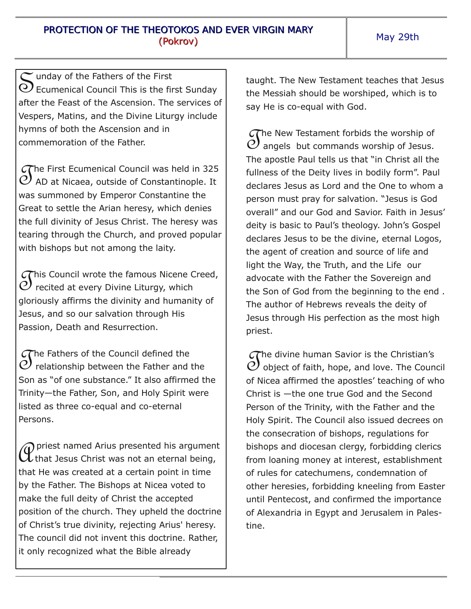S  $\sim$  unday of the Fathers of the First Ecumenical Council This is the first Sunday after the Feast of the Ascension. The services of Vespers, Matins, and the Divine Liturgy include hymns of both the Ascension and in commemoration of the Father.

 $\mathcal{S}$  $\sigma$ he First Ecumenical Council was held in 325 AD at Nicaea, outside of Constantinople. It was summoned by Emperor Constantine the Great to settle the Arian heresy, which denies the full divinity of Jesus Christ. The heresy was tearing through the Church, and proved popular with bishops but not among the laity.

 $\mathcal{S}$  $\sigma$ his Council wrote the famous Nicene Creed, recited at every Divine Liturgy, which gloriously affirms the divinity and humanity of Jesus, and so our salvation through His Passion, Death and Resurrection.

The Fathers of the Council defined the<br>
D relationship between the Father and  ${\cal O}$  relationship between the Father and the Son as "of one substance." It also affirmed the Trinity—the Father, Son, and Holy Spirit were listed as three co-equal and co-eternal Persons.

*A* priest named Arius presented his argumen<br>that Jesus Christ was not an eternal being, priest named Arius presented his argument that He was created at a certain point in time by the Father. The Bishops at Nicea voted to make the full deity of Christ the accepted position of the church. They upheld the doctrine of Christ's true divinity, rejecting Arius' heresy. The council did not invent this doctrine. Rather, it only recognized what the Bible already

taught. The New Testament teaches that Jesus the Messiah should be worshiped, which is to say He is co-equal with God.

 $\overline{S}$  $\sigma$ he New Testament forbids the worship of angels but commands worship of Jesus. The apostle Paul tells us that "in Christ all the fullness of the Deity lives in bodily form". Paul declares Jesus as Lord and the One to whom a person must pray for salvation. "Jesus is God overall" and our God and Savior. Faith in Jesus' deity is basic to Paul's theology. John's Gospel declares Jesus to be the divine, eternal Logos, the agent of creation and source of life and light the Way, the Truth, and the Life our advocate with the Father the Sovereign and the Son of God from the beginning to the end . The author of Hebrews reveals the deity of Jesus through His perfection as the most high priest.

 $\mathcal{J}_{\text{C}}$  $\widehat{C}$  he divine human Savior is the Christian's object of faith, hope, and love. The Council of Nicea affirmed the apostles' teaching of who Christ is —the one true God and the Second Person of the Trinity, with the Father and the Holy Spirit. The Council also issued decrees on the consecration of bishops, regulations for bishops and diocesan clergy, forbidding clerics from loaning money at interest, establishment of rules for catechumens, condemnation of other heresies, forbidding kneeling from Easter until Pentecost, and confirmed the importance of Alexandria in Egypt and Jerusalem in Palestine.